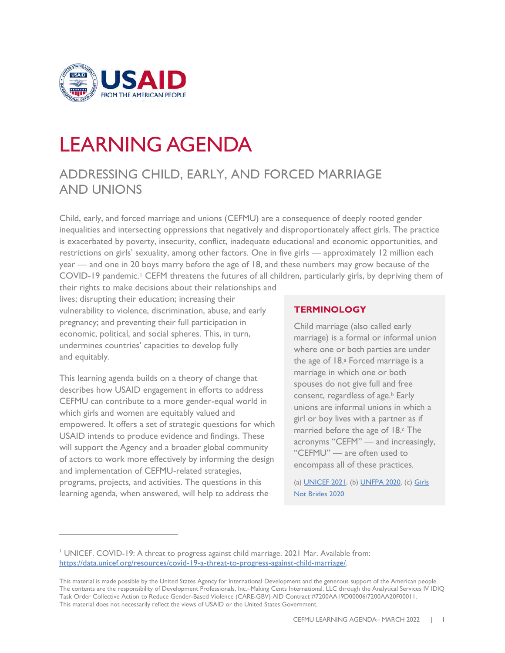

# LEARNING AGENDA

# ADDRESSING CHILD, EARLY, AND FORCED MARRIAGE AND UNIONS

Child, early, and forced marriage and unions (CEFMU) are a consequence of deeply rooted gender inequalities and intersecting oppressions that negatively and disproportionately affect girls. The practice is exacerbated by poverty, insecurity, conflict, inadequate educational and economic opportunities, and restrictions on girls' sexuality, among other factors. One in five girls — approximately 12 million each year — and one in 20 boys marry before the age of 18, and these numbers may grow because of the COVID-[1](#page-0-0)9 pandemic.<sup>1</sup> CEFM threatens the futures of all children, particularly girls, by depriving them of

their rights to make decisions about their relationships and lives; disrupting their education; increasing their vulnerability to violence, discrimination, abuse, and early pregnancy; and preventing their full participation in economic, political, and social spheres. This, in turn, undermines countries' capacities to develop fully and equitably.

This learning agenda builds on a theory of change that describes how USAID engagement in efforts to address CEFMU can contribute to a more gender-equal world in which girls and women are equitably valued and empowered. It offers a set of strategic questions for which USAID intends to produce evidence and findings. These will support the Agency and a broader global community of actors to work more effectively by informing the design and implementation of CEFMU-related strategies, programs, projects, and activities. The questions in this learning agenda, when answered, will help to address the

#### **TERMINOLOGY**

Child marriage (also called early marriage) is a formal or informal union where one or both parties are under the age of 18.a Forced marriage is a marriage in which one or both spouses do not give full and free consent, regardless of age.<sup>b</sup> Early unions are informal unions in which a girl or boy lives with a partner as if married before the age of 18.<sup>c</sup> The acronyms "CEFM" — and increasingly, "CEFMU" — are often used to encompass all of these practices.

(a[\) UNICEF 2021,](https://www.unicef.org/protection/child-marriage) (b) [UNFPA 2020,](https://www.unfpa.org/child-marriage-frequently-asked-questions#what%20is%20the%20difference%20between%20child%20marriage,%20early%20marriage%20and%20forced%20marriage) (c[\) Girls](https://www.girlsnotbrides.es/documents/947/Child-early-and-forced-marriages-and-unions-in-LAC.pdf)  [Not Brides 2020](https://www.girlsnotbrides.es/documents/947/Child-early-and-forced-marriages-and-unions-in-LAC.pdf)

<span id="page-0-0"></span><sup>&</sup>lt;sup>1</sup> UNICEF. COVID-19: A threat to progress against child marriage. 2021 Mar. Available from: [https://data.unicef.org/resources/covid-19-a-threat-to-progress-against-child-marriage/.](https://data.unicef.org/resources/covid-19-a-threat-to-progress-against-child-marriage/)

This material is made possible by the United States Agency for International Development and the generous support of the American people. The contents are the responsibility of Development Professionals, Inc.–Making Cents International, LLC through the Analytical Services IV IDIQ Task Order Collective Action to Reduce Gender-Based Violence (CARE-GBV) AID Contract #7200AA19D00006/7200AA20F00011. This material does not necessarily reflect the views of USAID or the United States Government.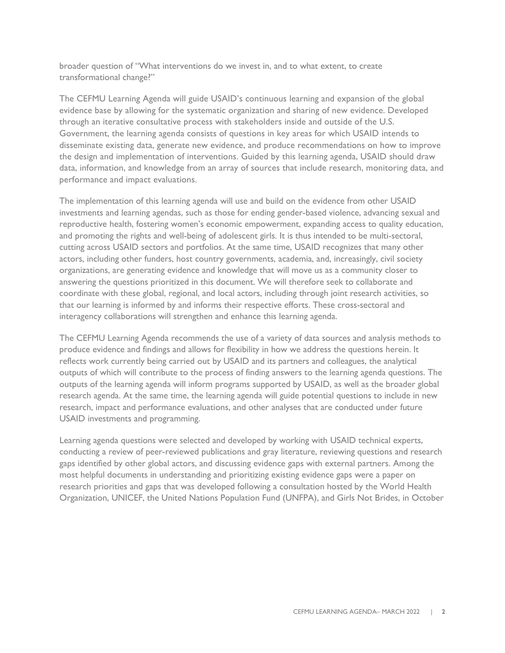broader question of "What interventions do we invest in, and to what extent, to create transformational change?"

The CEFMU Learning Agenda will guide USAID's continuous learning and expansion of the global evidence base by allowing for the systematic organization and sharing of new evidence. Developed through an iterative consultative process with stakeholders inside and outside of the U.S. Government, the learning agenda consists of questions in key areas for which USAID intends to disseminate existing data, generate new evidence, and produce recommendations on how to improve the design and implementation of interventions. Guided by this learning agenda, USAID should draw data, information, and knowledge from an array of sources that include research, monitoring data, and performance and impact evaluations.

The implementation of this learning agenda will use and build on the evidence from other USAID investments and learning agendas, such as those for ending gender-based violence, advancing sexual and reproductive health, fostering women's economic empowerment, expanding access to quality education, and promoting the rights and well-being of adolescent girls. It is thus intended to be multi-sectoral, cutting across USAID sectors and portfolios. At the same time, USAID recognizes that many other actors, including other funders, host country governments, academia, and, increasingly, civil society organizations, are generating evidence and knowledge that will move us as a community closer to answering the questions prioritized in this document. We will therefore seek to collaborate and coordinate with these global, regional, and local actors, including through joint research activities, so that our learning is informed by and informs their respective efforts. These cross-sectoral and interagency collaborations will strengthen and enhance this learning agenda.

The CEFMU Learning Agenda recommends the use of a variety of data sources and analysis methods to produce evidence and findings and allows for flexibility in how we address the questions herein. It reflects work currently being carried out by USAID and its partners and colleagues, the analytical outputs of which will contribute to the process of finding answers to the learning agenda questions. The outputs of the learning agenda will inform programs supported by USAID, as well as the broader global research agenda. At the same time, the learning agenda will guide potential questions to include in new research, impact and performance evaluations, and other analyses that are conducted under future USAID investments and programming.

Learning agenda questions were selected and developed by working with USAID technical experts, conducting a review of peer-reviewed publications and gray literature, reviewing questions and research gaps identified by other global actors, and discussing evidence gaps with external partners. Among the most helpful documents in understanding and prioritizing existing evidence gaps were a paper on research priorities and gaps that was developed following a consultation hosted by the World Health Organization, UNICEF, the United Nations Population Fund (UNFPA), and Girls Not Brides, in October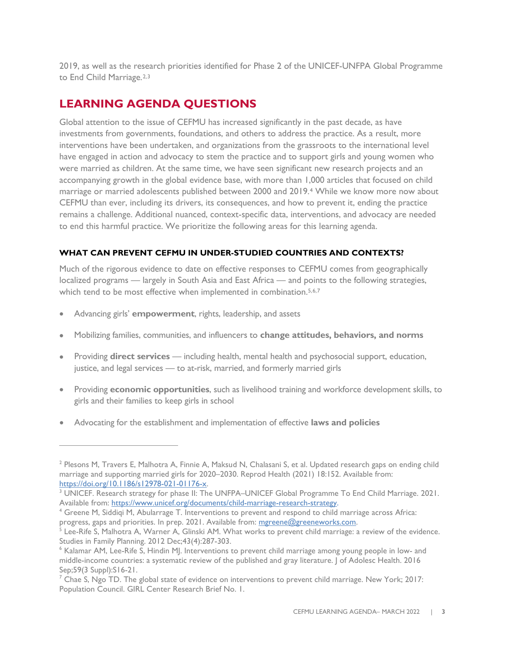2019, as well as the research priorities identified for Phase 2 of the UNICEF-UNFPA Global Programme to End Child Marriage.<sup>[2,](#page-2-0)[3](#page-2-1)</sup>

# **LEARNING AGENDA QUESTIONS**

Global attention to the issue of CEFMU has increased significantly in the past decade, as have investments from governments, foundations, and others to address the practice. As a result, more interventions have been undertaken, and organizations from the grassroots to the international level have engaged in action and advocacy to stem the practice and to support girls and young women who were married as children. At the same time, we have seen significant new research projects and an accompanying growth in the global evidence base, with more than 1,000 articles that focused on child marriage or married adolescents published between 2000 and 2019.[4](#page-2-2) While we know more now about CEFMU than ever, including its drivers, its consequences, and how to prevent it, ending the practice remains a challenge. Additional nuanced, context-specific data, interventions, and advocacy are needed to end this harmful practice. We prioritize the following areas for this learning agenda.

#### **WHAT CAN PREVENT CEFMU IN UNDER-STUDIED COUNTRIES AND CONTEXTS?**

Much of the rigorous evidence to date on effective responses to CEFMU comes from geographically localized programs — largely in South Asia and East Africa — and points to the following strategies, which tend to be most effective when implemented in combination.<sup>[5](#page-2-3),[6,](#page-2-4)[7](#page-2-5)</sup>

- Advancing girls' **empowerment**, rights, leadership, and assets
- Mobilizing families, communities, and influencers to **change attitudes, behaviors, and norms**
- Providing **direct services** including health, mental health and psychosocial support, education, justice, and legal services — to at-risk, married, and formerly married girls
- Providing **economic opportunities**, such as livelihood training and workforce development skills, to girls and their families to keep girls in school
- Advocating for the establishment and implementation of effective **laws and policies**

<span id="page-2-0"></span><sup>&</sup>lt;sup>2</sup> Plesons M, Travers E, Malhotra A, Finnie A, Maksud N, Chalasani S, et al. Updated research gaps on ending child marriage and supporting married girls for 2020–2030. Reprod Health (2021) 18:152. Available from:<br>https://doi.org/10.1186/s12978-021-01176-x.

<span id="page-2-1"></span> $3$  UNICEF. Research strategy for phase II: The UNFPA–UNICEF Global Programme To End Child Marriage. 2021. Available from: https://www.unicef.org/documents/child-marriage-research-strategy.<br><sup>4</sup> Greene M, Siddiqi M, Abularrage T. Interventions to prevent and respond to child marriage across Africa:

<span id="page-2-2"></span>progress, gaps and priorities. In prep. 2021. Available from: [mgreene@greeneworks.com.](mailto:mgreene@greeneworks.com)

<span id="page-2-3"></span> $5$  Lee-Rife S, Malhotra A, Warner A, Glinski AM. What works to prevent child marriage: a review of the evidence. Studies in Family Planning. 2012 Dec;43(4):287-303.<br><sup>6</sup> Kalamar AM, Lee-Rife S, Hindin MJ. Interventions to prevent child marriage among young people in low- and

<span id="page-2-4"></span>[middle-income countries: a systematic review of the published and gray literature.](https://www.ncbi.nlm.nih.gov/pubmed/27562449) J of Adolesc Health. 2016 Sep;59(3 Suppl):S16-21.

<span id="page-2-5"></span> $<sup>7</sup>$  Chae S, Ngo TD. [The global state of evidence on interventions to prevent child marriage.](https://www.girlsnotbrides.org/wp-content/uploads/2017/11/2017PGY_GIRLCenterResearchBrief_01.pdf) New York; 2017:</sup> Population Council. GIRL Center Research Brief No. 1.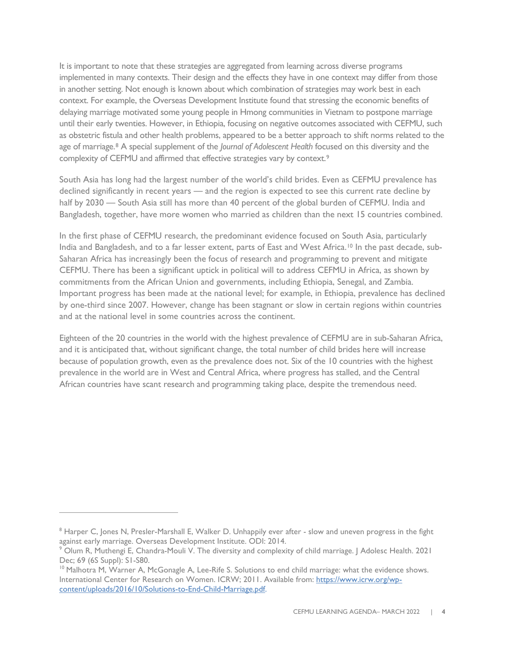It is important to note that these strategies are aggregated from learning across diverse programs implemented in many contexts. Their design and the effects they have in one context may differ from those in another setting. Not enough is known about which combination of strategies may work best in each context. For example, the Overseas Development Institute found that stressing the economic benefits of delaying marriage motivated some young people in Hmong communities in Vietnam to postpone marriage until their early twenties. However, in Ethiopia, focusing on negative outcomes associated with CEFMU, such as obstetric fistula and other health problems, appeared to be a better approach to shift norms related to the age of marriage.[8](#page-3-0) A special supplement of the *Journal of Adolescent Health* focused on this diversity and the complexity of CEFMU and affirmed that effective strategies vary by context.<sup>[9](#page-3-1)</sup>

South Asia has long had the largest number of the world's child brides. Even as CEFMU prevalence has declined significantly in recent years — and the region is expected to see this current rate decline by half by 2030 — South Asia still has more than 40 percent of the global burden of CEFMU. India and Bangladesh, together, have more women who married as children than the next 15 countries combined.

In the first phase of CEFMU research, the predominant evidence focused on South Asia, particularly India and Bangladesh, and to a far lesser extent, parts of East and West Africa.[10](#page-3-2) In the past decade, sub-Saharan Africa has increasingly been the focus of research and programming to prevent and mitigate CEFMU. There has been a significant uptick in political will to address CEFMU in Africa, as shown by commitments from the African Union and governments, including Ethiopia, Senegal, and Zambia. Important progress has been made at the national level; for example, in Ethiopia, prevalence has declined by one-third since 2007. However, change has been stagnant or slow in certain regions within countries and at the national level in some countries across the continent.

Eighteen of the 20 countries in the world with the highest prevalence of CEFMU are in sub-Saharan Africa, and it is anticipated that, without significant change, the total number of child brides here will increase because of population growth, even as the prevalence does not. Six of the 10 countries with the highest prevalence in the world are in West and Central Africa, where progress has stalled, and the Central African countries have scant research and programming taking place, despite the tremendous need.

<span id="page-3-0"></span><sup>&</sup>lt;sup>8</sup> Harper C, Jones N, Presler-Marshall E, Walker D. Unhappily ever after - slow and uneven progress in the fight [against early marriage.](https://www.odi.org/publications/8593-unhappily-ever-after-fight-against-early-marriage) Overseas Development Institute. ODI: 2014.<br><sup>9</sup> Olum R, Muthengi E, Chandra-Mouli V. The diversity and complexity of child marriage. J Adolesc Health. 2021

<span id="page-3-1"></span>Dec; 69 (6S Suppl): S1-S80.

<span id="page-3-2"></span><sup>&</sup>lt;sup>10</sup> Malhotra M, Warner A, McGonagle A, Lee-Rife S. Solutions to end child marriage: what the evidence shows. International Center for Research on Women. ICRW; 2011. Available from: [https://www.icrw.org/wp](https://www.icrw.org/wp-content/uploads/2016/10/Solutions-to-End-Child-Marriage.pdf)[content/uploads/2016/10/Solutions-to-End-Child-Marriage.pdf.](https://www.icrw.org/wp-content/uploads/2016/10/Solutions-to-End-Child-Marriage.pdf)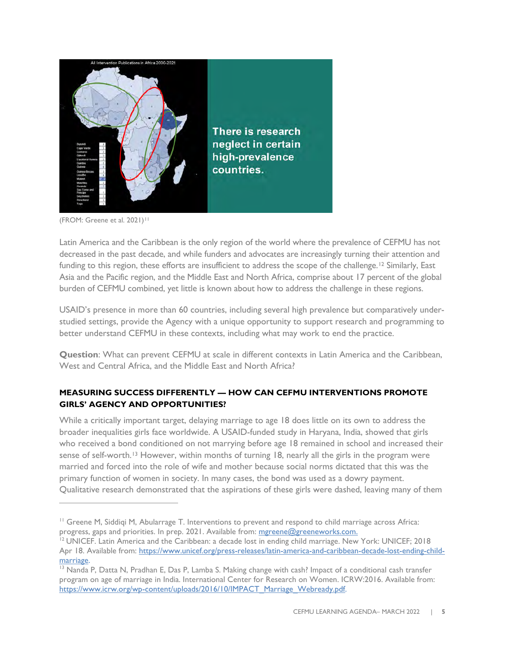

(FROM: Greene et al. 2021)<sup>[11](#page-4-0)</sup>

Latin America and the Caribbean is the only region of the world where the prevalence of CEFMU has not decreased in the past decade, and while funders and advocates are increasingly turning their attention and funding to this region, these efforts are insufficient to address the scope of the challenge.<sup>[12](#page-4-1)</sup> Similarly, East Asia and the Pacific region, and the Middle East and North Africa, comprise about 17 percent of the global burden of CEFMU combined, yet little is known about how to address the challenge in these regions.

USAID's presence in more than 60 countries, including several high prevalence but comparatively understudied settings, provide the Agency with a unique opportunity to support research and programming to better understand CEFMU in these contexts, including what may work to end the practice.

**Question**: What can prevent CEFMU at scale in different contexts in Latin America and the Caribbean, West and Central Africa, and the Middle East and North Africa?

## **MEASURING SUCCESS DIFFERENTLY — HOW CAN CEFMU INTERVENTIONS PROMOTE GIRLS' AGENCY AND OPPORTUNITIES?**

While a critically important target, delaying marriage to age 18 does little on its own to address the broader inequalities girls face worldwide. A USAID-funded study in Haryana, India, showed that girls who received a bond conditioned on not marrying before age 18 remained in school and increased their sense of self-worth.<sup>[13](#page-4-2)</sup> However, within months of turning 18, nearly all the girls in the program were married and forced into the role of wife and mother because social norms dictated that this was the primary function of women in society. In many cases, the bond was used as a dowry payment. Qualitative research demonstrated that the aspirations of these girls were dashed, leaving many of them

<span id="page-4-0"></span><sup>&</sup>lt;sup>11</sup> Greene M, Siddiqi M, Abularrage T. Interventions to prevent and respond to child marriage across Africa: progress, gaps and priorities. In prep. 2021. Available from: mgreene@greeneworks.com.

<span id="page-4-1"></span><sup>&</sup>lt;sup>12</sup> UNICEF. Latin America and the Caribbean: a decade lost in ending child marriage. New York: UNICEF; 2018 Apr 18. Available from: [https://www.unicef.org/press-releases/latin-america-and-caribbean-decade-lost-ending-child-](https://www.unicef.org/press-releases/latin-america-and-caribbean-decade-lost-ending-child-marriage)

<span id="page-4-2"></span>marriage.<br><sup>13</sup> Nanda P, Datta N, Pradhan E, Das P, Lamba S. Making change with cash? Impact of a conditional cash transfer program on age of marriage in India. International Center for Research on Women. ICRW:2016. Available from: [https://www.icrw.org/wp-content/uploads/2016/10/IMPACT\\_Marriage\\_Webready.pdf.](https://www.icrw.org/wp-content/uploads/2016/10/IMPACT_Marriage_Webready.pdf)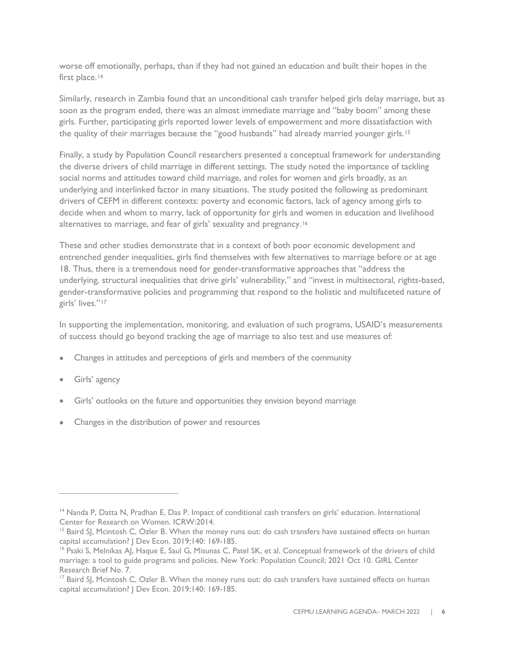worse off emotionally, perhaps, than if they had not gained an education and built their hopes in the first place.<sup>[14](#page-5-0)</sup>

Similarly, research in Zambia found that an unconditional cash transfer helped girls delay marriage, but as soon as the program ended, there was an almost immediate marriage and "baby boom" among these girls. Further, participating girls reported lower levels of empowerment and more dissatisfaction with the quality of their marriages because the "good husbands" had already married younger girls.<sup>15</sup>

Finally, a study by Population Council researchers presented a conceptual framework for understanding the diverse drivers of child marriage in different settings. The study noted the importance of tackling social norms and attitudes toward child marriage, and roles for women and girls broadly, as an underlying and interlinked factor in many situations. The study posited the following as predominant drivers of CEFM in different contexts: poverty and economic factors, lack of agency among girls to decide when and whom to marry, lack of opportunity for girls and women in education and livelihood alternatives to marriage, and fear of girls' sexuality and pregnancy.[16](#page-5-2)

These and other studies demonstrate that in a context of both poor economic development and entrenched gender inequalities, girls find themselves with few alternatives to marriage before or at age 18. Thus, there is a tremendous need for gender-transformative approaches that "address the underlying, structural inequalities that drive girls' vulnerability," and "invest in multisectoral, rights-based, gender-transformative policies and programming that respond to the holistic and multifaceted nature of girls' lives."[17](#page-5-3)

In supporting the implementation, monitoring, and evaluation of such programs, USAID's measurements of success should go beyond tracking the age of marriage to also test and use measures of:

- Changes in attitudes and perceptions of girls and members of the community
- Girls' agency
- Girls' outlooks on the future and opportunities they envision beyond marriage
- Changes in the distribution of power and resources

<span id="page-5-0"></span><sup>&</sup>lt;sup>14</sup> Nanda P, Datta N, Pradhan E, Das P. Impact of conditional cash transfers on girls' education. International Center for Research on Women. ICRW:2014.

<span id="page-5-1"></span><sup>&</sup>lt;sup>15</sup> Baird SJ, Mcintosh C, Ozler B. When the money runs out: do cash transfers have sustained effects on human [capital accumulation?](http://documents.worldbank.org/curated/en/495551480602000373/When-the-money-runs-out-do-cash-transfers-have-sustained-effects-on-human-capital-accumulation) J Dev Econ. 2019;140: 169-185.

<span id="page-5-2"></span><sup>&</sup>lt;sup>16</sup> Psaki S, Melnikas AJ, Haque E, Saul G, Misunas C, Patel SK, et al. Conceptual framework of the drivers of child [marriage: a tool to guide programs and policies.](https://www.girlsnotbrides.org/documents/1610/GC_Research_Brief_7_Child_Marriage_Final.pdf) New York: Population Council; 2021 Oct 10. GIRL Center Research Brief No. 7.

<span id="page-5-3"></span><sup>&</sup>lt;sup>17</sup> Baird SJ, Mcintosh C, Ozler B. When the money runs out: do cash transfers have sustained effects on human [capital accumulation?](http://documents.worldbank.org/curated/en/495551480602000373/When-the-money-runs-out-do-cash-transfers-have-sustained-effects-on-human-capital-accumulation) J Dev Econ. 2019;140: 169-185.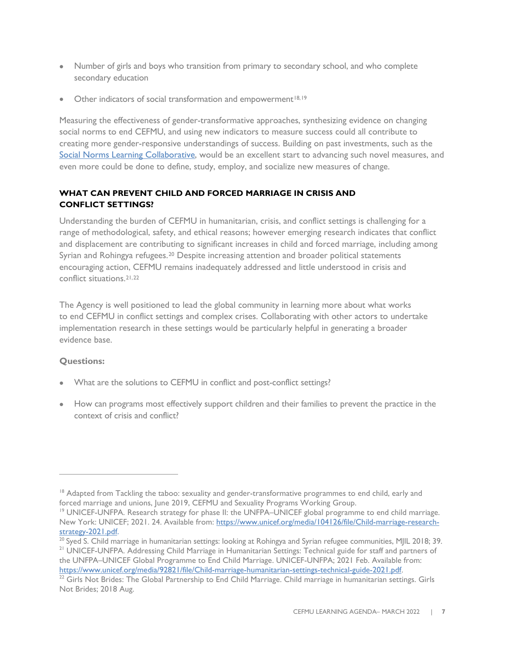- Number of girls and boys who transition from primary to secondary school, and who complete secondary education
- Other indicators of social transformation and empowerment $18,19$  $18,19$  $18,19$

Measuring the effectiveness of gender-transformative approaches, synthesizing evidence on changing social norms to end CEFMU, and using new indicators to measure success could all contribute to creating more gender-responsive understandings of success. Building on past investments, such as the [Social Norms Learning Collaborative,](https://www.alignplatform.org/learning-collaborative) would be an excellent start to advancing such novel measures, and even more could be done to define, study, employ, and socialize new measures of change.

## **WHAT CAN PREVENT CHILD AND FORCED MARRIAGE IN CRISIS AND CONFLICT SETTINGS?**

Understanding the burden of CEFMU in humanitarian, crisis, and conflict settings is challenging for a range of methodological, safety, and ethical reasons; however emerging research indicates that conflict and displacement are contributing to significant increases in child and forced marriage, including among Syrian and Rohingya refugees.[20](#page-6-2) Despite increasing attention and broader political statements encouraging action, CEFMU remains inadequately addressed and little understood in crisis and conflict situations.[21,](#page-6-3)[22](#page-6-4)

The Agency is well positioned to lead the global community in learning more about what works to end CEFMU in conflict settings and complex crises. Collaborating with other actors to undertake implementation research in these settings would be particularly helpful in generating a broader evidence base.

# **Questions:**

- What are the solutions to CEFMU in conflict and post-conflict settings?
- How can programs most effectively support children and their families to prevent the practice in the context of crisis and conflict?

<span id="page-6-0"></span><sup>&</sup>lt;sup>18</sup> Adapted from Tackling the taboo: sexuality and gender-transformative programmes to end child, early and [forced marriage and unions,](https://plan-international.org/publications/tackling-taboo-ending-child-marriage#download-options) June 2019, CEFMU and Sexuality Programs Working Group.

<span id="page-6-1"></span><sup>&</sup>lt;sup>19</sup> UNICEF-UNFPA. Research strategy for phase II: the UNFPA–UNICEF global programme to end child marriage. New York: UNICEF; 2021. 24. Available from: [https://www.unicef.org/media/104126/file/Child-marriage-research](https://www.unicef.org/media/104126/file/Child-marriage-research-strategy-2021.pdf)[strategy-2021.pdf.](https://www.unicef.org/media/104126/file/Child-marriage-research-strategy-2021.pdf)<br><sup>20</sup> Syed S. Child marriage in humanitarian settings: looking at Rohingya and Syrian refugee communities, MJIL 2018; 39.

<span id="page-6-3"></span><span id="page-6-2"></span><sup>&</sup>lt;sup>21</sup> UNICEF-UNFPA. Addressing Child Marriage in Humanitarian Settings: Technical guide for staff and partners of the UNFPA–UNICEF Global Programme to End Child Marriage. UNICEF-UNFPA; 2021 Feb. Available from:

<span id="page-6-4"></span>https://www.unicef.org/media/92821/file/Child-marriage-humanitarian-settings-technical-guide-2021.pdf.<br><sup>22</sup> Girls Not Brides: The Global Partnership to End Child Marriage. [Child marriage in humanitarian settings.](https://www.girlsnotbrides.org/wp-content/uploads/2016/05/Child-marriage-in-humanitarian-settings.pdf) Girls Not Brides; 2018 Aug.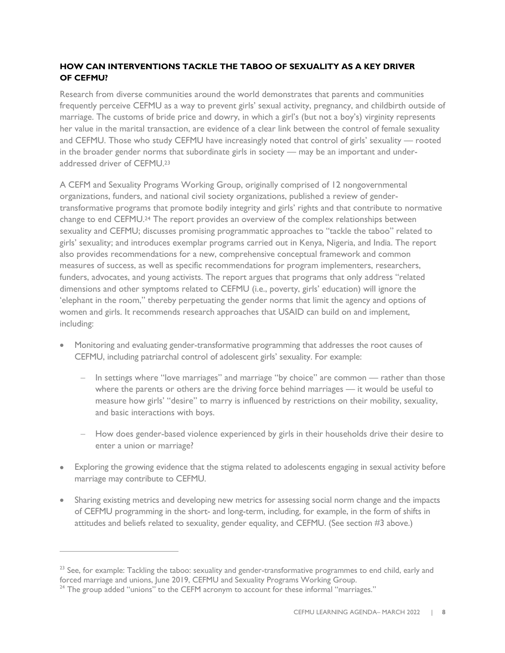## **HOW CAN INTERVENTIONS TACKLE THE TABOO OF SEXUALITY AS A KEY DRIVER OF CEFMU?**

Research from diverse communities around the world demonstrates that parents and communities frequently perceive CEFMU as a way to prevent girls' sexual activity, pregnancy, and childbirth outside of marriage. The customs of bride price and dowry, in which a girl's (but not a boy's) virginity represents her value in the marital transaction, are evidence of a clear link between the control of female sexuality and CEFMU. Those who study CEFMU have increasingly noted that control of girls' sexuality — rooted in the broader gender norms that subordinate girls in society — may be an important and underaddressed driver of CEFMU[.23](#page-7-0)

A CEFM and Sexuality Programs Working Group, originally comprised of 12 nongovernmental organizations, funders, and national civil society organizations, published a review of gendertransformative programs that promote bodily integrity and girls' rights and that contribute to normative change to end CEFMU.[24](#page-7-1) The report provides an overview of the complex relationships between sexuality and CEFMU; discusses promising programmatic approaches to "tackle the taboo" related to girls' sexuality; and introduces exemplar programs carried out in Kenya, Nigeria, and India. The report also provides recommendations for a new, comprehensive conceptual framework and common measures of success, as well as specific recommendations for program implementers, researchers, funders, advocates, and young activists. The report argues that programs that only address "related dimensions and other symptoms related to CEFMU (i.e., poverty, girls' education) will ignore the 'elephant in the room," thereby perpetuating the gender norms that limit the agency and options of women and girls. It recommends research approaches that USAID can build on and implement, including:

- Monitoring and evaluating gender-transformative programming that addresses the root causes of CEFMU, including patriarchal control of adolescent girls' sexuality. For example:
	- In settings where "love marriages" and marriage "by choice" are common rather than those where the parents or others are the driving force behind marriages — it would be useful to measure how girls' "desire" to marry is influenced by restrictions on their mobility, sexuality, and basic interactions with boys.
	- How does gender-based violence experienced by girls in their households drive their desire to enter a union or marriage?
- Exploring the growing evidence that the stigma related to adolescents engaging in sexual activity before marriage may contribute to CEFMU.
- Sharing existing metrics and developing new metrics for assessing social norm change and the impacts of CEFMU programming in the short- and long-term, including, for example, in the form of shifts in attitudes and beliefs related to sexuality, gender equality, and CEFMU. (See section #3 above.)

<span id="page-7-0"></span><sup>&</sup>lt;sup>23</sup> See, for example: Tackling the taboo: sexuality and gender-transformative programmes to end child, early and [forced marriage and unions,](https://plan-international.org/publications/tackling-taboo-ending-child-marriage#download-options) June 2019, CEFMU and Sexuality Programs Working Group.

<span id="page-7-1"></span><sup>&</sup>lt;sup>24</sup> The group added "unions" to the CEFM acronym to account for these informal "marriages."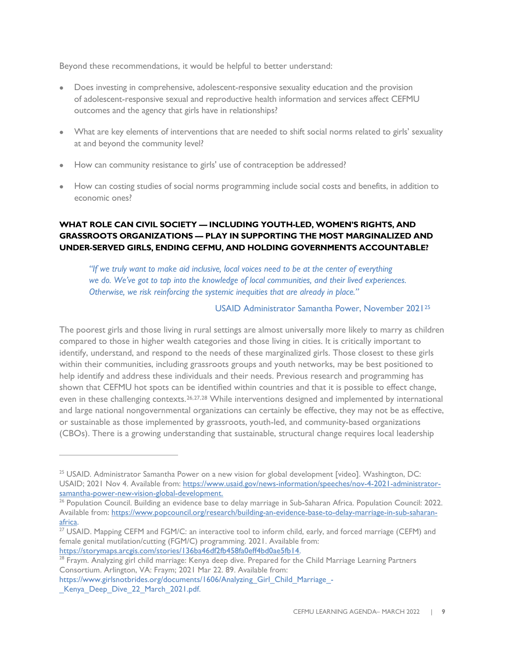Beyond these recommendations, it would be helpful to better understand:

- Does investing in comprehensive, adolescent-responsive sexuality education and the provision of adolescent-responsive sexual and reproductive health information and services affect CEFMU outcomes and the agency that girls have in relationships?
- What are key elements of interventions that are needed to shift social norms related to girls' sexuality at and beyond the community level?
- How can community resistance to girls' use of contraception be addressed?
- How can costing studies of social norms programming include social costs and benefits, in addition to economic ones?

# **WHAT ROLE CAN CIVIL SOCIETY — INCLUDING YOUTH-LED, WOMEN'S RIGHTS, AND GRASSROOTS ORGANIZATIONS — PLAY IN SUPPORTING THE MOST MARGINALIZED AND UNDER-SERVED GIRLS, ENDING CEFMU, AND HOLDING GOVERNMENTS ACCOUNTABLE?**

*"If we truly want to make aid inclusive, local voices need to be at the center of everything we do. We've got to tap into the knowledge of local communities, and their lived experiences. Otherwise, we risk reinforcing the systemic inequities that are already in place."*

## USAID Administrator Samantha Power, November 2021[25](#page-8-0)

The poorest girls and those living in rural settings are almost universally more likely to marry as children compared to those in higher wealth categories and those living in cities. It is critically important to identify, understand, and respond to the needs of these marginalized girls. Those closest to these girls within their communities, including grassroots groups and youth networks, may be best positioned to help identify and address these individuals and their needs. Previous research and programming has shown that CEFMU hot spots can be identified within countries and that it is possible to effect change, even in these challenging contexts.<sup>[26](#page-8-1),[27](#page-8-2),[28](#page-8-3)</sup> While interventions designed and implemented by international and large national nongovernmental organizations can certainly be effective, they may not be as effective, or sustainable as those implemented by grassroots, youth-led, and community-based organizations (CBOs). There is a growing understanding that sustainable, structural change requires local leadership

<span id="page-8-0"></span><sup>25</sup> USAID*.* Administrator Samantha Power on a new vision for global development [video]. Washington, DC: USAID; 2021 Nov 4. Available from: [https://www.usaid.gov/news-information/speeches/nov-4-2021-administrator](https://www.usaid.gov/news-information/speeches/nov-4-2021-administrator-samantha-power-new-vision-global-development)[samantha-power-new-vision-global-development.](https://www.usaid.gov/news-information/speeches/nov-4-2021-administrator-samantha-power-new-vision-global-development)

<span id="page-8-1"></span><sup>&</sup>lt;sup>26</sup> Population Council. Building an evidence base to delay marriage in Sub-Saharan Africa. Population Council: 2022. Available from: [https://www.popcouncil.org/research/building-an-evidence-base-to-delay-marriage-in-sub-saharan](https://www.popcouncil.org/research/building-an-evidence-base-to-delay-marriage-in-sub-saharan-africa)[africa.](https://www.popcouncil.org/research/building-an-evidence-base-to-delay-marriage-in-sub-saharan-africa)

<span id="page-8-2"></span><sup>&</sup>lt;sup>27</sup> USAID. Mapping CEFM and FGM/C: an interactive tool to inform child, early, and forced marriage (CEFM) and female genital mutilation/cutting (FGM/C) programming. 2021. Available from: [https://storymaps.arcgis.com/stories/136ba46df2fb458fa0eff4bd0ae5fb14.](https://storymaps.arcgis.com/stories/136ba46df2fb458fa0eff4bd0ae5fb14)

<span id="page-8-3"></span><sup>&</sup>lt;sup>28</sup> Fraym. Analyzing girl child marriage: Kenya deep dive. Prepared for the Child Marriage Learning Partners Consortium. Arlington, VA: Fraym; 2021 Mar 22. 89. Available from:

[https://www.girlsnotbrides.org/documents/1606/Analyzing\\_Girl\\_Child\\_Marriage\\_-](https://www.girlsnotbrides.org/documents/1606/Analyzing_Girl_Child_Marriage_-_Kenya_Deep_Dive_22_March_2021.pdf) Kenya Deep Dive 22 March 2021.pdf.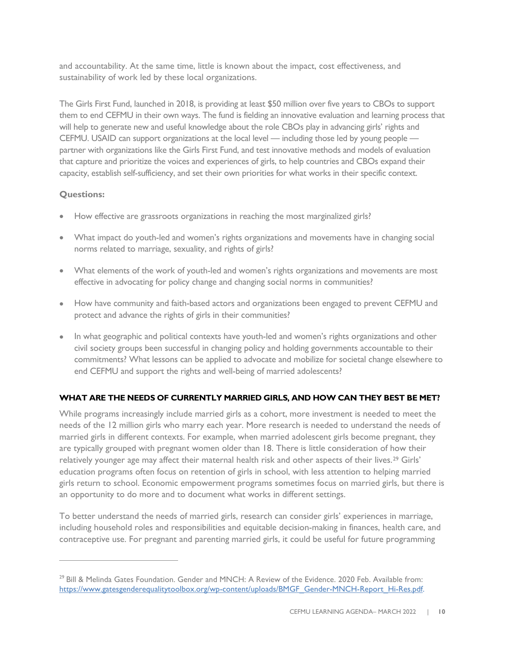and accountability. At the same time, little is known about the impact, cost effectiveness, and sustainability of work led by these local organizations.

The Girls First Fund, launched in 2018, is providing at least \$50 million over five years to CBOs to support them to end CEFMU in their own ways. The fund is fielding an innovative evaluation and learning process that will help to generate new and useful knowledge about the role CBOs play in advancing girls' rights and CEFMU. USAID can support organizations at the local level — including those led by young people partner with organizations like the Girls First Fund, and test innovative methods and models of evaluation that capture and prioritize the voices and experiences of girls, to help countries and CBOs expand their capacity, establish self-sufficiency, and set their own priorities for what works in their specific context.

## **Questions:**

- How effective are grassroots organizations in reaching the most marginalized girls?
- What impact do youth-led and women's rights organizations and movements have in changing social norms related to marriage, sexuality, and rights of girls?
- What elements of the work of youth-led and women's rights organizations and movements are most effective in advocating for policy change and changing social norms in communities?
- How have community and faith-based actors and organizations been engaged to prevent CEFMU and protect and advance the rights of girls in their communities?
- In what geographic and political contexts have youth-led and women's rights organizations and other civil society groups been successful in changing policy and holding governments accountable to their commitments? What lessons can be applied to advocate and mobilize for societal change elsewhere to end CEFMU and support the rights and well-being of married adolescents?

#### **WHAT ARE THE NEEDS OF CURRENTLY MARRIED GIRLS, AND HOW CAN THEY BEST BE MET?**

While programs increasingly include married girls as a cohort, more investment is needed to meet the needs of the 12 million girls who marry each year. More research is needed to understand the needs of married girls in different contexts. For example, when married adolescent girls become pregnant, they are typically grouped with pregnant women older than 18. There is little consideration of how their relatively younger age may affect their maternal health risk and other aspects of their lives.[29](#page-9-0) Girls' education programs often focus on retention of girls in school, with less attention to helping married girls return to school. Economic empowerment programs sometimes focus on married girls, but there is an opportunity to do more and to document what works in different settings.

To better understand the needs of married girls, research can consider girls' experiences in marriage, including household roles and responsibilities and equitable decision-making in finances, health care, and contraceptive use. For pregnant and parenting married girls, it could be useful for future programming

<span id="page-9-0"></span> $29$  Bill & Melinda Gates Foundation. Gender and MNCH: A Review of the Evidence. 2020 Feb. Available from: [https://www.gatesgenderequalitytoolbox.org/wp-content/uploads/BMGF\\_Gender-MNCH-Report\\_Hi-Res.pdf.](https://urldefense.com/v3/__https:/www.gatesgenderequalitytoolbox.org/wp-content/uploads/BMGF_Gender-MNCH-Report_Hi-Res.pdf__;!!ELf_LxN3sEQ!YJ_DbtBJes1u98Y0yif89HMcAis0CkE-23dzQs3LQqfz29lNtiPlZhUeBHXIBUDpSwt6IUy1UVLKz-JORu5fI5Dapa4$)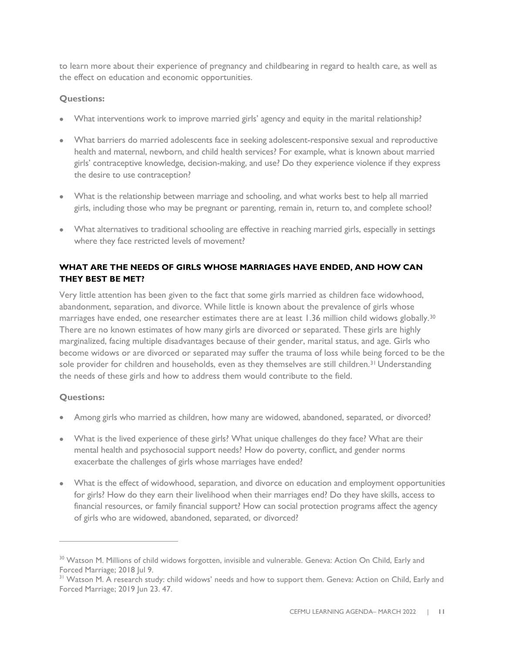to learn more about their experience of pregnancy and childbearing in regard to health care, as well as the effect on education and economic opportunities.

#### **Questions:**

- What interventions work to improve married girls' agency and equity in the marital relationship?
- What barriers do married adolescents face in seeking adolescent-responsive sexual and reproductive health and maternal, newborn, and child health services? For example, what is known about married girls' contraceptive knowledge, decision-making, and use? Do they experience violence if they express the desire to use contraception?
- What is the relationship between marriage and schooling, and what works best to help all married girls, including those who may be pregnant or parenting, remain in, return to, and complete school?
- What alternatives to traditional schooling are effective in reaching married girls, especially in settings where they face restricted levels of movement?

# **WHAT ARE THE NEEDS OF GIRLS WHOSE MARRIAGES HAVE ENDED, AND HOW CAN THEY BEST BE MET?**

Very little attention has been given to the fact that some girls married as children face widowhood, abandonment, separation, and divorce. While little is known about the prevalence of girls whose marriages have ended, one researcher estimates there are at least 1.36 million child widows globally.[30](#page-10-0) There are no known estimates of how many girls are divorced or separated. These girls are highly marginalized, facing multiple disadvantages because of their gender, marital status, and age. Girls who become widows or are divorced or separated may suffer the trauma of loss while being forced to be the sole provider for children and households, even as they themselves are still children.<sup>[31](#page-10-1)</sup> Understanding the needs of these girls and how to address them would contribute to the field.

# **Questions:**

- Among girls who married as children, how many are widowed, abandoned, separated, or divorced?
- What is the lived experience of these girls? What unique challenges do they face? What are their mental health and psychosocial support needs? How do poverty, conflict, and gender norms exacerbate the challenges of girls whose marriages have ended?
- What is the effect of widowhood, separation, and divorce on education and employment opportunities for girls? How do they earn their livelihood when their marriages end? Do they have skills, access to financial resources, or family financial support? How can social protection programs affect the agency of girls who are widowed, abandoned, separated, or divorced?

<span id="page-10-0"></span><sup>30</sup> Watson M. [Millions of child widows forgotten, invisible and vulnerable.](http://actiononchildearlyandforcedmarriage.org/wp-content/uploads/2018/08/ChildWidowsReport_2018_Mohinder_Watson.pdf) Geneva: Action On Child, Early and Forced Marriage; 2018 Jul 9.<br><sup>31</sup> Watson [M. A research study: child widows' needs and how to support them.](http://actiononchildearlyandforcedmarriage.org/wp-content/uploads/2019/06/FullReport-ChildWidowsNeedsandHowtoSupportThem_23June2019_mail.pdf) Geneva: Action on Child, Early and

<span id="page-10-1"></span>Forced Marriage; 2019 Jun 23. 47.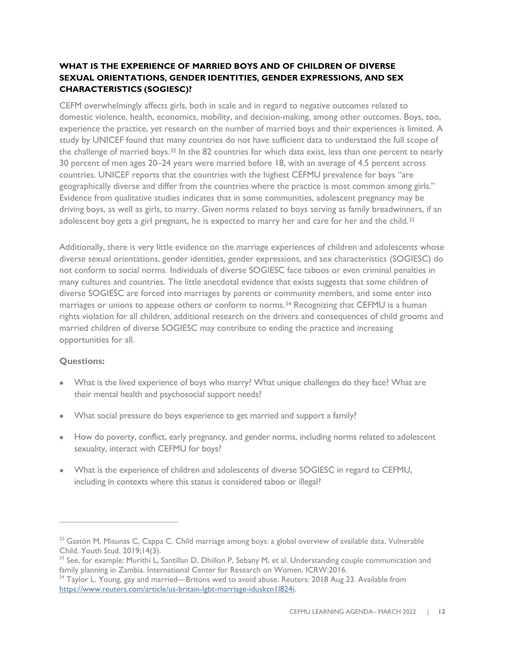## **WHAT IS THE EXPERIENCE OF MARRIED BOYS AND OF CHILDREN OF DIVERSE SEXUAL ORIENTATIONS, GENDER IDENTITIES, GENDER EXPRESSIONS, AND SEX CHARACTERISTICS (SOGIESC)?**

CEFM overwhelmingly affects girls, both in scale and in regard to negative outcomes related to domestic violence, health, economics, mobility, and decision-making, among other outcomes. Boys, too, experience the practice, yet research on the number of married boys and their experiences is limited. A study by UNICEF found that many countries do not have sufficient data to understand the full scope of the challenge of married boys.[32](#page-11-0) In the 82 countries for which data exist, less than one percent to nearly 30 percent of men ages 20–24 years were married before 18, with an average of 4.5 percent across countries. UNICEF reports that the countries with the highest CEFMU prevalence for boys "are geographically diverse and differ from the countries where the practice is most common among girls." Evidence from qualitative studies indicates that in some communities, adolescent pregnancy may be driving boys, as well as girls, to marry. Given norms related to boys serving as family breadwinners, if an adolescent boy gets a girl pregnant, he is expected to marry her and care for her and the child.<sup>33</sup>

Additionally, there is very little evidence on the marriage experiences of children and adolescents whose diverse sexual orientations, gender identities, gender expressions, and sex characteristics (SOGIESC) do not conform to social norms. Individuals of diverse SOGIESC face taboos or even criminal penalties in many cultures and countries. The little anecdotal evidence that exists suggests that some children of diverse SOGIESC are forced into marriages by parents or community members, and some enter into marriages or unions to appease others or conform to norms.<sup>[34](#page-11-2)</sup> Recognizing that CEFMU is a human rights violation for all children, additional research on the drivers and consequences of child grooms and married children of diverse SOGIESC may contribute to ending the practice and increasing opportunities for all.

#### **Questions:**

- What is the lived experience of boys who marry? What unique challenges do they face? What are their mental health and psychosocial support needs?
- What social pressure do boys experience to get married and support a family?
- How do poverty, conflict, early pregnancy, and gender norms, including norms related to adolescent sexuality, interact with CEFMU for boys?
- What is the experience of children and adolescents of diverse SOGIESC in regard to CEFMU, including in contexts where this status is considered taboo or illegal?

<span id="page-11-0"></span><sup>&</sup>lt;sup>32</sup> Gastón M, Misunas C, Cappa C. [Child marriage among boys: a global overview of available data.](https://doi.org/10.1080/17450128.2019.1566584) Vulnerable Child. Youth Stud. 2019;14(3).<br><sup>33</sup> See, for example: Murithi L, Santillan D, Dhillon P, Sebany M, et al. Understanding couple communication and

<span id="page-11-1"></span>[family planning in Zambia.](https://www.icrw.org/wp-content/uploads/2016/10/SIFPO2-Zambia-couple-communication-report_2016_final.pdf) International Center for Research on Women. ICRW:2016.

<span id="page-11-2"></span><sup>&</sup>lt;sup>34</sup> Taylor L. Young, gay and married—Britons wed to avoid abuse. Reuters: 2018 Aug 23. Available from [https://www.reuters.com/article/us-britain-lgbt-marriage-iduskcn1l824i.](https://www.reuters.com/article/us-britain-lgbt-marriage-iduskcn1l824i)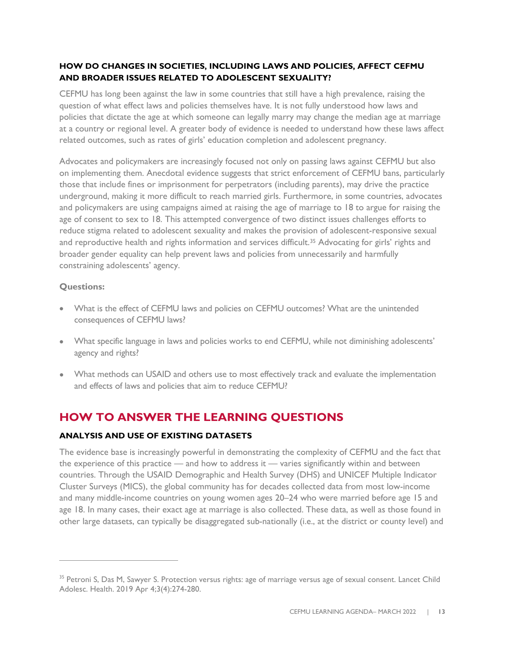#### **HOW DO CHANGES IN SOCIETIES, INCLUDING LAWS AND POLICIES, AFFECT CEFMU AND BROADER ISSUES RELATED TO ADOLESCENT SEXUALITY?**

CEFMU has long been against the law in some countries that still have a high prevalence, raising the question of what effect laws and policies themselves have. It is not fully understood how laws and policies that dictate the age at which someone can legally marry may change the median age at marriage at a country or regional level. A greater body of evidence is needed to understand how these laws affect related outcomes, such as rates of girls' education completion and adolescent pregnancy.

Advocates and policymakers are increasingly focused not only on passing laws against CEFMU but also on implementing them. Anecdotal evidence suggests that strict enforcement of CEFMU bans, particularly those that include fines or imprisonment for perpetrators (including parents), may drive the practice underground, making it more difficult to reach married girls. Furthermore, in some countries, advocates and policymakers are using campaigns aimed at raising the age of marriage to 18 to argue for raising the age of consent to sex to 18. This attempted convergence of two distinct issues challenges efforts to reduce stigma related to adolescent sexuality and makes the provision of adolescent-responsive sexual and reproductive health and rights information and services difficult.<sup>[35](#page-12-0)</sup> Advocating for girls' rights and broader gender equality can help prevent laws and policies from unnecessarily and harmfully constraining adolescents' agency.

#### **Questions:**

- What is the effect of CEFMU laws and policies on CEFMU outcomes? What are the unintended consequences of CEFMU laws?
- What specific language in laws and policies works to end CEFMU, while not diminishing adolescents' agency and rights?
- What methods can USAID and others use to most effectively track and evaluate the implementation and effects of laws and policies that aim to reduce CEFMU?

# **HOW TO ANSWER THE LEARNING QUESTIONS**

# **ANALYSIS AND USE OF EXISTING DATASETS**

The evidence base is increasingly powerful in demonstrating the complexity of CEFMU and the fact that the experience of this practice — and how to address it — varies significantly within and between countries. Through the USAID Demographic and Health Survey (DHS) and UNICEF Multiple Indicator Cluster Surveys (MICS), the global community has for decades collected data from most low-income and many middle-income countries on young women ages 20–24 who were married before age 15 and age 18. In many cases, their exact age at marriage is also collected. These data, as well as those found in other large datasets, can typically be disaggregated sub-nationally (i.e., at the district or county level) and

<span id="page-12-0"></span><sup>&</sup>lt;sup>35</sup> Petroni S, Das M, Sawyer S. [Protection versus rights: age of marriage versus age of sexual consent.](https://www.sciencedirect.com/science/article/pii/S2352464218303365?via%3Dihub) Lancet Child Adolesc. Health. 2019 Apr 4;3(4):274-280.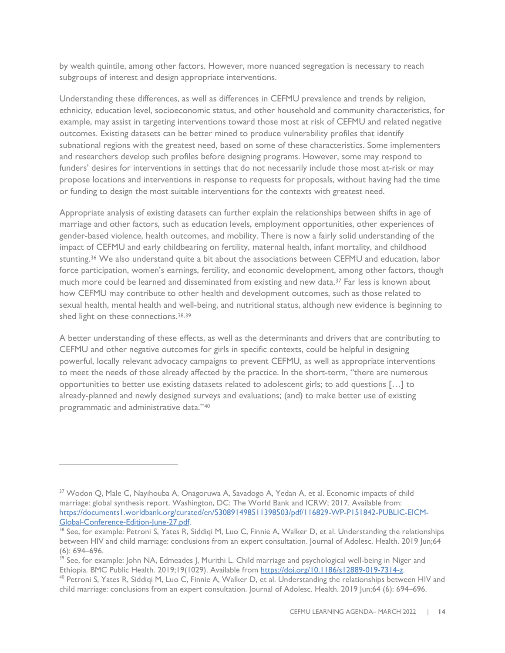by wealth quintile, among other factors. However, more nuanced segregation is necessary to reach subgroups of interest and design appropriate interventions.

Understanding these differences, as well as differences in CEFMU prevalence and trends by religion, ethnicity, education level, socioeconomic status, and other household and community characteristics, for example, may assist in targeting interventions toward those most at risk of CEFMU and related negative outcomes. Existing datasets can be better mined to produce vulnerability profiles that identify subnational regions with the greatest need, based on some of these characteristics. Some implementers and researchers develop such profiles before designing programs. However, some may respond to funders' desires for interventions in settings that do not necessarily include those most at-risk or may propose locations and interventions in response to requests for proposals, without having had the time or funding to design the most suitable interventions for the contexts with greatest need.

Appropriate analysis of existing datasets can further explain the relationships between shifts in age of marriage and other factors, such as education levels, employment opportunities, other experiences of gender-based violence, health outcomes, and mobility. There is now a fairly solid understanding of the impact of CEFMU and early childbearing on fertility, maternal health, infant mortality, and childhood stunting.<sup>[36](#page-13-0)</sup> We also understand quite a bit about the associations between CEFMU and education, labor force participation, women's earnings, fertility, and economic development, among other factors, though much more could be learned and disseminated from existing and new data.[37](#page-13-1) Far less is known about how CEFMU may contribute to other health and development outcomes, such as those related to sexual health, mental health and well-being, and nutritional status, although new evidence is beginning to shed light on these connections.<sup>[38,](#page-13-2)[39](#page-13-3)</sup>

A better understanding of these effects, as well as the determinants and drivers that are contributing to CEFMU and other negative outcomes for girls in specific contexts, could be helpful in designing powerful, locally relevant advocacy campaigns to prevent CEFMU, as well as appropriate interventions to meet the needs of those already affected by the practice. In the short-term, "there are numerous opportunities to better use existing datasets related to adolescent girls; to add questions […] to already-planned and newly designed surveys and evaluations; (and) to make better use of existing programmatic and administrative data."[40](#page-13-4)

<span id="page-13-1"></span><span id="page-13-0"></span><sup>&</sup>lt;sup>37</sup> Wodon Q, Male C, Nayihouba A, Onagoruwa A, Savadogo A, Yedan A, et al. Economic impacts of child marriage: global synthesis report. Washington, DC: The World Bank and ICRW; 2017. Available from: [https://documents1.worldbank.org/curated/en/530891498511398503/pdf/116829-WP-P151842-PUBLIC-EICM-](https://documents1.worldbank.org/curated/en/530891498511398503/pdf/116829-WP-P151842-PUBLIC-EICM-Global-Conference-Edition-June-27.pdf)[Global-Conference-Edition-June-27.pdf.](https://documents1.worldbank.org/curated/en/530891498511398503/pdf/116829-WP-P151842-PUBLIC-EICM-Global-Conference-Edition-June-27.pdf)

<span id="page-13-2"></span><sup>&</sup>lt;sup>38</sup> See, for example: Petroni S, Yates R, Siddiqi M, Luo C, Finnie A, Walker D, et al. [Understanding the relationships](https://www.jahonline.org/article/S1054-139X(19)30109-0/fulltext) [between HIV and child marriage: conclusions from an expert consultation.](https://www.jahonline.org/article/S1054-139X(19)30109-0/fulltext) Journal of Adolesc. Health. 2019 Jun;64 (6): 694–696.

<span id="page-13-3"></span><sup>&</sup>lt;sup>39</sup> See, for example: John NA, Edmeades J, Murithi L. Child marriage and psychological well-being in Niger and Ethiopia. BMC Public Health. 2019;19(1029). Available from [https://doi.org/10.1186/s12889-019-7314-z.](https://doi.org/10.1186/s12889-019-7314-z)

<span id="page-13-4"></span> $40$  Petroni S, Yates R, Siddiqi M, Luo C, Finnie A, Walker D, et al. Understanding the relationships between HIV and [child marriage: conclusions from an expert consultation.](https://www.jahonline.org/article/S1054-139X(19)30109-0/fulltext) Journal of Adolesc. Health. 2019 Jun;64 (6): 694–696.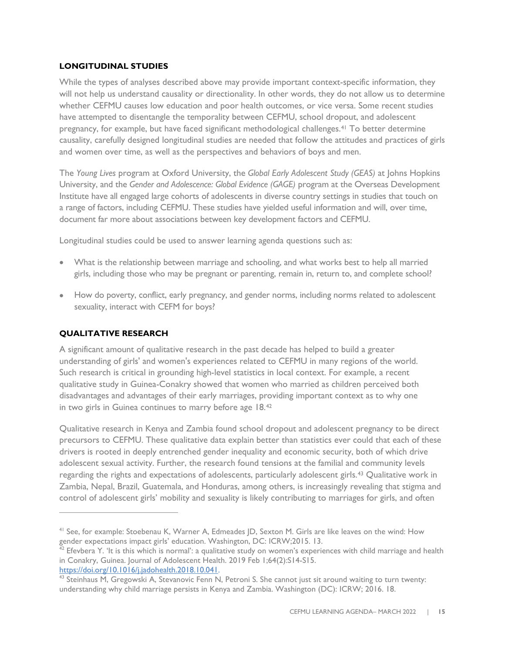#### **LONGITUDINAL STUDIES**

While the types of analyses described above may provide important context-specific information, they will not help us understand causality or directionality. In other words, they do not allow us to determine whether CEFMU causes low education and poor health outcomes, or vice versa. Some recent studies have attempted to disentangle the temporality between CEFMU, school dropout, and adolescent pregnancy, for example, but have faced significant methodological challenges.[41](#page-14-0) To better determine causality, carefully designed longitudinal studies are needed that follow the attitudes and practices of girls and women over time, as well as the perspectives and behaviors of boys and men.

The *Young Lives* program at Oxford University, the *Global Early Adolescent Study (GEAS)* at Johns Hopkins University, and the *Gender and Adolescence: Global Evidence (GAGE)* program at the Overseas Development Institute have all engaged large cohorts of adolescents in diverse country settings in studies that touch on a range of factors, including CEFMU. These studies have yielded useful information and will, over time, document far more about associations between key development factors and CEFMU.

Longitudinal studies could be used to answer learning agenda questions such as:

- What is the relationship between marriage and schooling, and what works best to help all married girls, including those who may be pregnant or parenting, remain in, return to, and complete school?
- How do poverty, conflict, early pregnancy, and gender norms, including norms related to adolescent sexuality, interact with CEFM for boys?

#### **QUALITATIVE RESEARCH**

A significant amount of qualitative research in the past decade has helped to build a greater understanding of girls' and women's experiences related to CEFMU in many regions of the world. Such research is critical in grounding high-level statistics in local context. For example, a recent qualitative study in Guinea-Conakry showed that women who married as children perceived both disadvantages and advantages of their early marriages, providing important context as to why one in two girls in Guinea continues to marry before age 18.[42](#page-14-1) 

Qualitative research in Kenya and Zambia found school dropout and adolescent pregnancy to be direct precursors to CEFMU. These qualitative data explain better than statistics ever could that each of these drivers is rooted in deeply entrenched gender inequality and economic security, both of which drive adolescent sexual activity. Further, the research found tensions at the familial and community levels regarding the rights and expectations of adolescents, particularly adolescent girls.[43](#page-14-2) Qualitative work in Zambia, Nepal, Brazil, Guatemala, and Honduras, among others, is increasingly revealing that stigma and control of adolescent girls' mobility and sexuality is likely contributing to marriages for girls, and often

<span id="page-14-0"></span><sup>&</sup>lt;sup>41</sup> See, for example: Stoebenau K, Warner A, Edmeades JD, Sexton M. [Girls are like leaves on the wind:](https://www.icrw.org/wp-content/uploads/2016/10/141011-ICRW-MacArthur-Final-Web-R.pdf) How gender expectations impact girls' education. Washington, DC: ICRW;2015. 13.

<span id="page-14-1"></span> $42$  Efevbera Y. 'It is this which is normal': a qualitative study on women's experiences with child marriage and health in Conakry, Guinea. Journal of Adolescent Health. 2019 Feb 1;64(2):S14-S15.

[https://doi.org/10.1016/j.jadohealth.2018.10.041.](https://urldefense.com/v3/__https:/doi.org/10.1016/j.jadohealth.2018.10.041__;!!ELf_LxN3sEQ!YJ_DbtBJes1u98Y0yif89HMcAis0CkE-23dzQs3LQqfz29lNtiPlZhUeBHXIBUDpSwt6IUy1UVLKz-JORu5fClqF96I$)

<span id="page-14-2"></span><sup>&</sup>lt;sup>43</sup> Steinhaus M, Gregowski A, Stevanovic Fenn N, Petroni S. [She cannot just sit around waiting to turn twenty:](https://www.girlsnotbrides.org/resource-centre/cannot-just-sit-around-waiting-turn-twenty-understanding-child-marriage-persists-kenya-zambia/) understanding why child marriage persists in Kenya and Zambia. Washington (DC): ICRW; 2016. 18.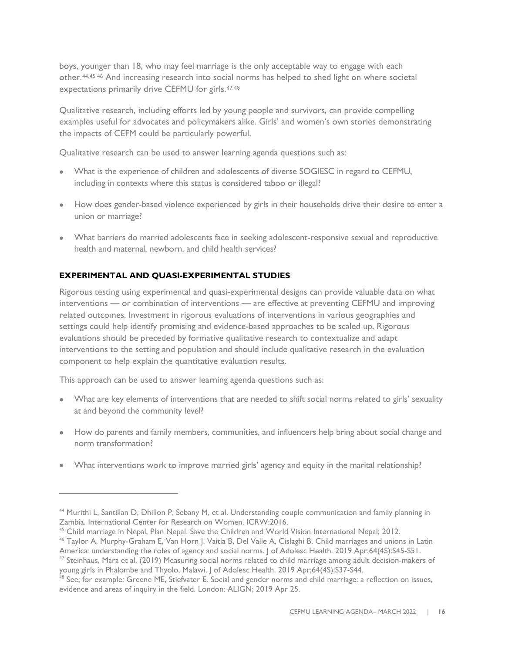boys, younger than 18, who may feel marriage is the only acceptable way to engage with each other.[44,](#page-15-0)[45,](#page-15-1)[46](#page-15-2) And increasing research into social norms has helped to shed light on where societal expectations primarily drive CEFMU for girls.[47,](#page-15-3)[48](#page-15-4)

Qualitative research, including efforts led by young people and survivors, can provide compelling examples useful for advocates and policymakers alike. Girls' and women's own stories demonstrating the impacts of CEFM could be particularly powerful.

Qualitative research can be used to answer learning agenda questions such as:

- What is the experience of children and adolescents of diverse SOGIESC in regard to CEFMU, including in contexts where this status is considered taboo or illegal?
- How does gender-based violence experienced by girls in their households drive their desire to enter a union or marriage?
- What barriers do married adolescents face in seeking adolescent-responsive sexual and reproductive health and maternal, newborn, and child health services?

## **EXPERIMENTAL AND QUASI-EXPERIMENTAL STUDIES**

Rigorous testing using experimental and quasi-experimental designs can provide valuable data on what interventions — or combination of interventions — are effective at preventing CEFMU and improving related outcomes. Investment in rigorous evaluations of interventions in various geographies and settings could help identify promising and evidence-based approaches to be scaled up. Rigorous evaluations should be preceded by formative qualitative research to contextualize and adapt interventions to the setting and population and should include qualitative research in the evaluation component to help explain the quantitative evaluation results.

This approach can be used to answer learning agenda questions such as:

- What are key elements of interventions that are needed to shift social norms related to girls' sexuality at and beyond the community level?
- How do parents and family members, communities, and influencers help bring about social change and norm transformation?
- What interventions work to improve married girls' agency and equity in the marital relationship?

<span id="page-15-0"></span><sup>&</sup>lt;sup>44</sup> Murithi L, Santillan D, Dhillon P, Sebany M, et al. Understanding couple communication and family planning in [Zambia.](https://www.icrw.org/wp-content/uploads/2016/10/SIFPO2-Zambia-couple-communication-report_2016_final.pdf) International Center for Research on Women. ICRW:2016.

<span id="page-15-1"></span><sup>&</sup>lt;sup>45</sup> [Child marriage in Nepal,](https://www.wvi.org/sites/default/files/Child%20Marriage%20in%20Nepal-%20Report.pdf) Plan Nepal. Save the Children and World Vision International Nepal; 2012.

<span id="page-15-2"></span><sup>&</sup>lt;sup>46</sup> Taylor A, Murphy-Graham E, Van Horn J, Vaitla B, Del Valle A, Cislaghi B. Child marriages and unions in Latin

<span id="page-15-3"></span>[America: understanding the roles of agency and social norms.](https://www.jahonline.org/article/S1054-139X(19)30007-2/fulltext) J of Adolesc Health. 2019 Apr;64(4S):S45-S51.<br><sup>47</sup> Steinhaus, Mara et al. (2019) Measuring social norms related to child marriage among adult decision-makers of [young girls in Phalombe and Thyolo, Malawi.](https://www.jahonline.org/article/S1054-139X(19)30010-2/fulltext) J of Adolesc Health. 2019 Apr;64(4S):S37-S44.<br><sup>48</sup> See, for example: Greene ME, Stiefvater E. Social and gender norms and child marriage: a reflection on issues,

<span id="page-15-4"></span>[evidence and areas of inquiry in the field.](https://www.alignplatform.org/sites/default/files/2019-04/align_child_marriage_thinkpiece.pdf) London: ALIGN; 2019 Apr 25.